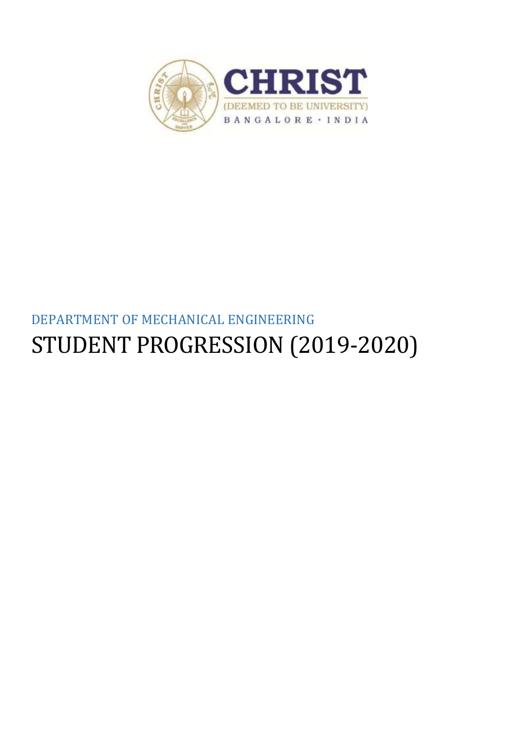

# DEPARTMENT OF MECHANICAL ENGINEERING STUDENT PROGRESSION (2019-2020)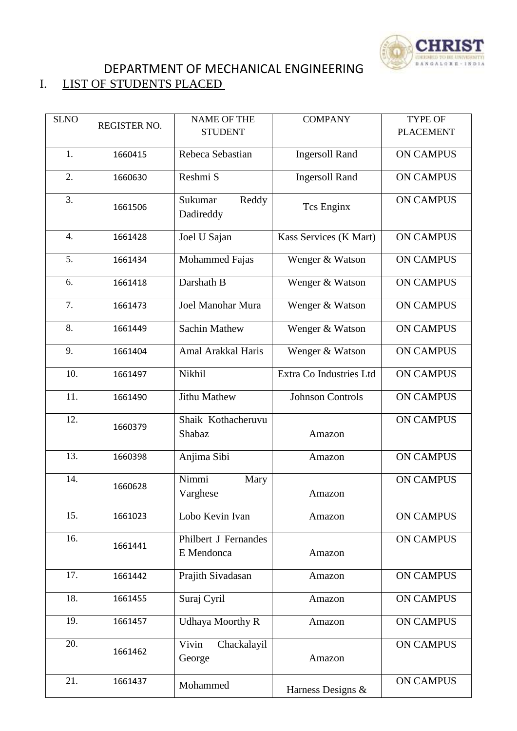

## DEPARTMENT OF MECHANICAL ENGINEERING<br>I. LIST OF STUDENTS PLACED LIST OF STUDENTS PLACED

| <b>SLNO</b> |              | <b>NAME OF THE</b>                 | <b>COMPANY</b>          | <b>TYPE OF</b>   |
|-------------|--------------|------------------------------------|-------------------------|------------------|
|             | REGISTER NO. | <b>STUDENT</b>                     |                         | <b>PLACEMENT</b> |
| 1.          | 1660415      | Rebeca Sebastian                   | <b>Ingersoll Rand</b>   | <b>ON CAMPUS</b> |
| 2.          | 1660630      | Reshmi S                           | <b>Ingersoll Rand</b>   | <b>ON CAMPUS</b> |
| 3.          | 1661506      | Reddy<br>Sukumar<br>Dadireddy      | <b>Tcs Enginx</b>       | <b>ON CAMPUS</b> |
| 4.          | 1661428      | Joel U Sajan                       | Kass Services (K Mart)  | <b>ON CAMPUS</b> |
| 5.          | 1661434      | Mohammed Fajas                     | Wenger & Watson         | <b>ON CAMPUS</b> |
| 6.          | 1661418      | Darshath B                         | Wenger & Watson         | <b>ON CAMPUS</b> |
| 7.          | 1661473      | Joel Manohar Mura                  | Wenger & Watson         | <b>ON CAMPUS</b> |
| 8.          | 1661449      | <b>Sachin Mathew</b>               | Wenger & Watson         | <b>ON CAMPUS</b> |
| 9.          | 1661404      | Amal Arakkal Haris                 | Wenger & Watson         | <b>ON CAMPUS</b> |
| 10.         | 1661497      | Nikhil                             | Extra Co Industries Ltd | <b>ON CAMPUS</b> |
| 11.         | 1661490      | <b>Jithu Mathew</b>                | <b>Johnson Controls</b> | <b>ON CAMPUS</b> |
| 12.         | 1660379      | Shaik Kothacheruvu<br>Shabaz       | Amazon                  | <b>ON CAMPUS</b> |
| 13.         | 1660398      | Anjima Sibi                        | Amazon                  | <b>ON CAMPUS</b> |
| 14.         | 1660628      | Nimmi<br>Mary<br>Varghese          | Amazon                  | <b>ON CAMPUS</b> |
| 15.         | 1661023      | Lobo Kevin Ivan                    | Amazon                  | <b>ON CAMPUS</b> |
| 16.         | 1661441      | Philbert J Fernandes<br>E Mendonca | Amazon                  | <b>ON CAMPUS</b> |
| 17.         | 1661442      | Prajith Sivadasan                  | Amazon                  | <b>ON CAMPUS</b> |
| 18.         | 1661455      | Suraj Cyril                        | Amazon                  | <b>ON CAMPUS</b> |
| 19.         | 1661457      | <b>Udhaya Moorthy R</b>            | Amazon                  | <b>ON CAMPUS</b> |
| 20.         | 1661462      | Vivin<br>Chackalayil<br>George     | Amazon                  | <b>ON CAMPUS</b> |
| 21.         | 1661437      | Mohammed                           | Harness Designs &       | <b>ON CAMPUS</b> |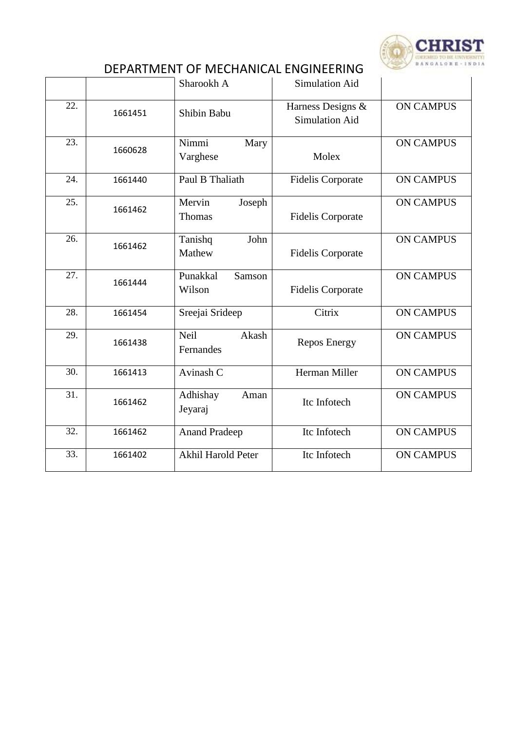

# DEPARTMENT OF MECHANICAL ENGINEERING

|     |         | Sharookh A                        | <b>Simulation Aid</b>                      |                  |
|-----|---------|-----------------------------------|--------------------------------------------|------------------|
| 22. | 1661451 | Shibin Babu                       | Harness Designs &<br><b>Simulation Aid</b> | <b>ON CAMPUS</b> |
| 23. | 1660628 | Nimmi<br>Mary<br>Varghese         | Molex                                      | <b>ON CAMPUS</b> |
| 24. | 1661440 | Paul B Thaliath                   | <b>Fidelis Corporate</b>                   | <b>ON CAMPUS</b> |
| 25. | 1661462 | Mervin<br>Joseph<br>Thomas        | <b>Fidelis Corporate</b>                   | <b>ON CAMPUS</b> |
| 26. | 1661462 | John<br>Tanishq<br>Mathew         | <b>Fidelis Corporate</b>                   | <b>ON CAMPUS</b> |
| 27. | 1661444 | Punakkal<br>Samson<br>Wilson      | <b>Fidelis Corporate</b>                   | <b>ON CAMPUS</b> |
| 28. | 1661454 | Sreejai Srideep                   | Citrix                                     | <b>ON CAMPUS</b> |
| 29. | 1661438 | Akash<br><b>Neil</b><br>Fernandes | <b>Repos Energy</b>                        | <b>ON CAMPUS</b> |
| 30. | 1661413 | Avinash C                         | Herman Miller                              | <b>ON CAMPUS</b> |
| 31. | 1661462 | Adhishay<br>Aman<br>Jeyaraj       | Itc Infotech                               | <b>ON CAMPUS</b> |
| 32. | 1661462 | <b>Anand Pradeep</b>              | Itc Infotech                               | <b>ON CAMPUS</b> |
| 33. | 1661402 | Akhil Harold Peter                | Itc Infotech                               | <b>ON CAMPUS</b> |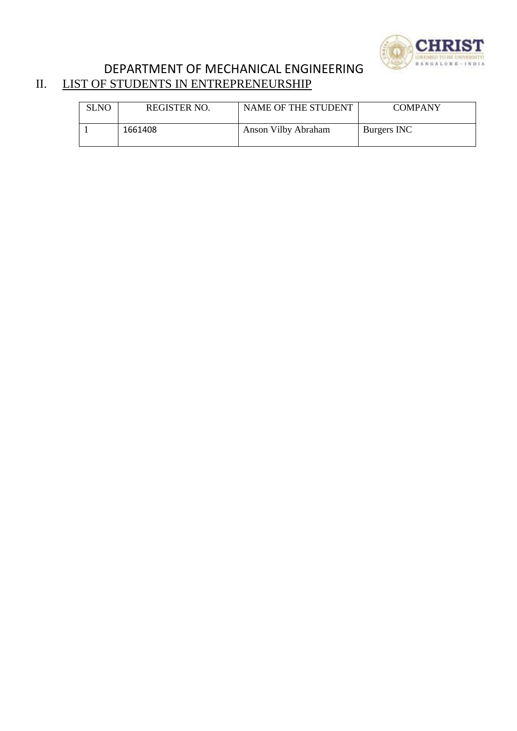

## DEPARTMENT OF MECHANICAL ENGINEERING<br>II. LIST OF STUDENTS IN ENTREPRENEURSHIP LIST OF STUDENTS IN ENTREPRENEURSHIP

| <b>SLNO</b> | <b>REGISTER NO.</b> | NAME OF THE STUDENT | <b>COMPANY</b> |
|-------------|---------------------|---------------------|----------------|
|             | 1661408             | Anson Vilby Abraham | Burgers INC    |